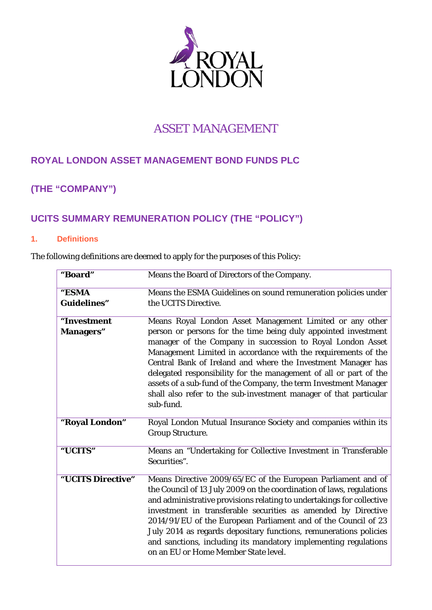

# ASSET MANAGEMENT

# **ROYAL LONDON ASSET MANAGEMENT BOND FUNDS PLC**

# **(THE "COMPANY")**

# **UCITS SUMMARY REMUNERATION POLICY (THE "POLICY")**

### **1. Definitions**

The following definitions are deemed to apply for the purposes of this Policy:

| "Board"            | Means the Board of Directors of the Company.                                                                                                                                                                                                                                                                                                                                                                                                                                                                                     |
|--------------------|----------------------------------------------------------------------------------------------------------------------------------------------------------------------------------------------------------------------------------------------------------------------------------------------------------------------------------------------------------------------------------------------------------------------------------------------------------------------------------------------------------------------------------|
| "ESMA              | Means the ESMA Guidelines on sound remuneration policies under                                                                                                                                                                                                                                                                                                                                                                                                                                                                   |
| <b>Guidelines"</b> | the UCITS Directive.                                                                                                                                                                                                                                                                                                                                                                                                                                                                                                             |
| "Investment        | Means Royal London Asset Management Limited or any other                                                                                                                                                                                                                                                                                                                                                                                                                                                                         |
| <b>Managers</b> "  | person or persons for the time being duly appointed investment<br>manager of the Company in succession to Royal London Asset<br>Management Limited in accordance with the requirements of the<br>Central Bank of Ireland and where the Investment Manager has<br>delegated responsibility for the management of all or part of the<br>assets of a sub-fund of the Company, the term Investment Manager<br>shall also refer to the sub-investment manager of that particular<br>sub-fund.                                         |
| "Royal London"     | Royal London Mutual Insurance Society and companies within its<br><b>Group Structure.</b>                                                                                                                                                                                                                                                                                                                                                                                                                                        |
| "UCITS"            | Means an "Undertaking for Collective Investment in Transferable<br>Securities".                                                                                                                                                                                                                                                                                                                                                                                                                                                  |
| "UCITS Directive"  | Means Directive 2009/65/EC of the European Parliament and of<br>the Council of 13 July 2009 on the coordination of laws, regulations<br>and administrative provisions relating to undertakings for collective<br>investment in transferable securities as amended by Directive<br>2014/91/EU of the European Parliament and of the Council of 23<br>July 2014 as regards depositary functions, remunerations policies<br>and sanctions, including its mandatory implementing regulations<br>on an EU or Home Member State level. |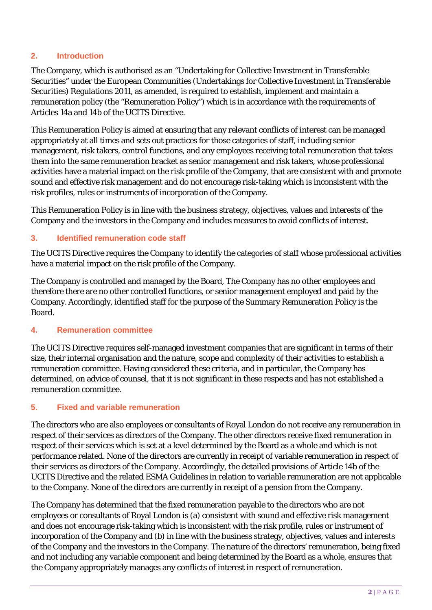# **2. Introduction**

The Company, which is authorised as an "Undertaking for Collective Investment in Transferable Securities" under the European Communities (Undertakings for Collective Investment in Transferable Securities) Regulations 2011, as amended, is required to establish, implement and maintain a remuneration policy (the "Remuneration Policy") which is in accordance with the requirements of Articles 14a and 14b of the UCITS Directive.

This Remuneration Policy is aimed at ensuring that any relevant conflicts of interest can be managed appropriately at all times and sets out practices for those categories of staff, including senior management, risk takers, control functions, and any employees receiving total remuneration that takes them into the same remuneration bracket as senior management and risk takers, whose professional activities have a material impact on the risk profile of the Company, that are consistent with and promote sound and effective risk management and do not encourage risk-taking which is inconsistent with the risk profiles, rules or instruments of incorporation of the Company.

This Remuneration Policy is in line with the business strategy, objectives, values and interests of the Company and the investors in the Company and includes measures to avoid conflicts of interest.

# **3. Identified remuneration code staff**

The UCITS Directive requires the Company to identify the categories of staff whose professional activities have a material impact on the risk profile of the Company.

The Company is controlled and managed by the Board, The Company has no other employees and therefore there are no other controlled functions, or senior management employed and paid by the Company. Accordingly, identified staff for the purpose of the Summary Remuneration Policy is the Board.

### **4. Remuneration committee**

The UCITS Directive requires self-managed investment companies that are significant in terms of their size, their internal organisation and the nature, scope and complexity of their activities to establish a remuneration committee. Having considered these criteria, and in particular, the Company has determined, on advice of counsel, that it is not significant in these respects and has not established a remuneration committee.

### **5. Fixed and variable remuneration**

The directors who are also employees or consultants of Royal London do not receive any remuneration in respect of their services as directors of the Company. The other directors receive fixed remuneration in respect of their services which is set at a level determined by the Board as a whole and which is not performance related. None of the directors are currently in receipt of variable remuneration in respect of their services as directors of the Company. Accordingly, the detailed provisions of Article 14b of the UCITS Directive and the related ESMA Guidelines in relation to variable remuneration are not applicable to the Company. None of the directors are currently in receipt of a pension from the Company.

The Company has determined that the fixed remuneration payable to the directors who are not employees or consultants of Royal London is (a) consistent with sound and effective risk management and does not encourage risk-taking which is inconsistent with the risk profile, rules or instrument of incorporation of the Company and (b) in line with the business strategy, objectives, values and interests of the Company and the investors in the Company. The nature of the directors' remuneration, being fixed and not including any variable component and being determined by the Board as a whole, ensures that the Company appropriately manages any conflicts of interest in respect of remuneration.